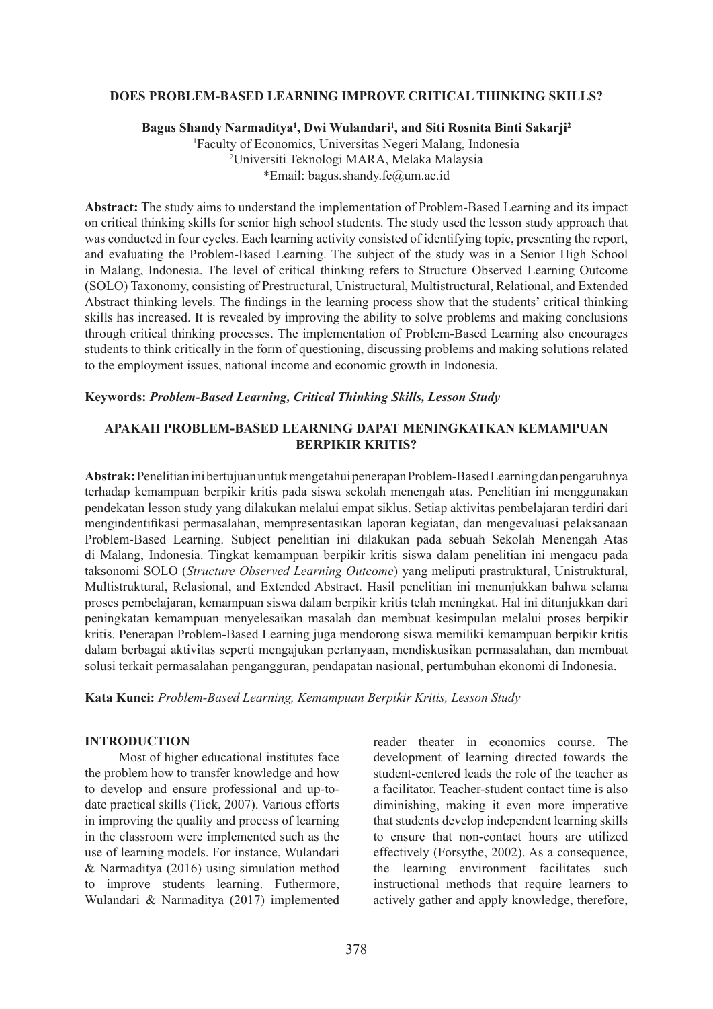## **DOES PROBLEM-BASED LEARNING IMPROVE CRITICAL THINKING SKILLS?**

**Bagus Shandy Narmaditya1 , Dwi Wulandari1 , and Siti Rosnita Binti Sakarji2**

1 Faculty of Economics, Universitas Negeri Malang, Indonesia 2 Universiti Teknologi MARA, Melaka Malaysia \*Email: bagus.shandy.fe@um.ac.id

**Abstract:** The study aims to understand the implementation of Problem-Based Learning and its impact on critical thinking skills for senior high school students. The study used the lesson study approach that was conducted in four cycles. Each learning activity consisted of identifying topic, presenting the report, and evaluating the Problem-Based Learning. The subject of the study was in a Senior High School in Malang, Indonesia. The level of critical thinking refers to Structure Observed Learning Outcome (SOLO) Taxonomy, consisting of Prestructural, Unistructural, Multistructural, Relational, and Extended Abstract thinking levels. The findings in the learning process show that the students' critical thinking skills has increased. It is revealed by improving the ability to solve problems and making conclusions through critical thinking processes. The implementation of Problem-Based Learning also encourages students to think critically in the form of questioning, discussing problems and making solutions related to the employment issues, national income and economic growth in Indonesia.

#### **Keywords:** *Problem-Based Learning, Critical Thinking Skills, Lesson Study*

## **APAKAH PROBLEM-BASED LEARNING DAPAT MENINGKATKAN KEMAMPUAN BERPIKIR KRITIS?**

**Abstrak:** Penelitian ini bertujuan untuk mengetahui penerapan Problem-Based Learning dan pengaruhnya terhadap kemampuan berpikir kritis pada siswa sekolah menengah atas. Penelitian ini menggunakan pendekatan lesson study yang dilakukan melalui empat siklus. Setiap aktivitas pembelajaran terdiri dari mengindentifikasi permasalahan, mempresentasikan laporan kegiatan, dan mengevaluasi pelaksanaan Problem-Based Learning. Subject penelitian ini dilakukan pada sebuah Sekolah Menengah Atas di Malang, Indonesia. Tingkat kemampuan berpikir kritis siswa dalam penelitian ini mengacu pada taksonomi SOLO (*Structure Observed Learning Outcome*) yang meliputi prastruktural, Unistruktural, Multistruktural, Relasional, and Extended Abstract. Hasil penelitian ini menunjukkan bahwa selama proses pembelajaran, kemampuan siswa dalam berpikir kritis telah meningkat. Hal ini ditunjukkan dari peningkatan kemampuan menyelesaikan masalah dan membuat kesimpulan melalui proses berpikir kritis. Penerapan Problem-Based Learning juga mendorong siswa memiliki kemampuan berpikir kritis dalam berbagai aktivitas seperti mengajukan pertanyaan, mendiskusikan permasalahan, dan membuat solusi terkait permasalahan pengangguran, pendapatan nasional, pertumbuhan ekonomi di Indonesia.

**Kata Kunci:** *Problem-Based Learning, Kemampuan Berpikir Kritis, Lesson Study*

# **INTRODUCTION**

Most of higher educational institutes face the problem how to transfer knowledge and how to develop and ensure professional and up-todate practical skills (Tick, 2007). Various efforts in improving the quality and process of learning in the classroom were implemented such as the use of learning models. For instance, Wulandari & Narmaditya (2016) using simulation method to improve students learning. Futhermore, Wulandari & Narmaditya (2017) implemented reader theater in economics course. The development of learning directed towards the student-centered leads the role of the teacher as a facilitator. Teacher-student contact time is also diminishing, making it even more imperative that students develop independent learning skills to ensure that non-contact hours are utilized effectively (Forsythe, 2002). As a consequence, the learning environment facilitates such instructional methods that require learners to actively gather and apply knowledge, therefore,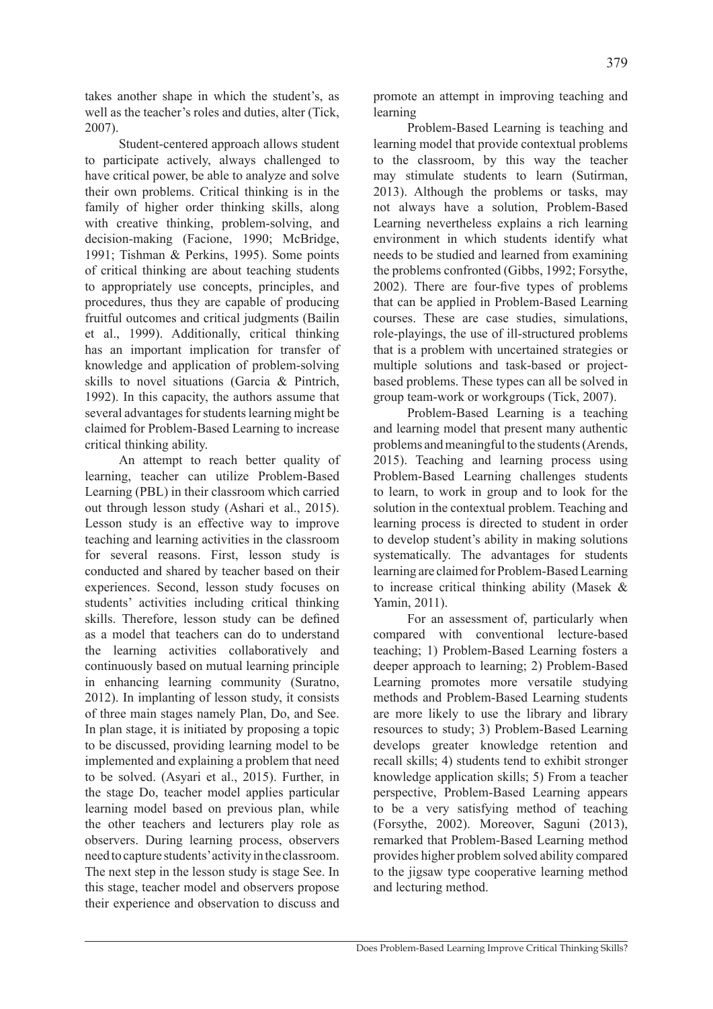takes another shape in which the student's, as well as the teacher's roles and duties, alter (Tick, 2007).

Student-centered approach allows student to participate actively, always challenged to have critical power, be able to analyze and solve their own problems. Critical thinking is in the family of higher order thinking skills, along with creative thinking, problem-solving, and decision-making (Facione, 1990; McBridge, 1991; Tishman & Perkins, 1995). Some points of critical thinking are about teaching students to appropriately use concepts, principles, and procedures, thus they are capable of producing fruitful outcomes and critical judgments (Bailin et al., 1999). Additionally, critical thinking has an important implication for transfer of knowledge and application of problem-solving skills to novel situations (Garcia & Pintrich, 1992). In this capacity, the authors assume that several advantages for students learning might be claimed for Problem-Based Learning to increase critical thinking ability.

An attempt to reach better quality of learning, teacher can utilize Problem-Based Learning (PBL) in their classroom which carried out through lesson study (Ashari et al., 2015). Lesson study is an effective way to improve teaching and learning activities in the classroom for several reasons. First, lesson study is conducted and shared by teacher based on their experiences. Second, lesson study focuses on students' activities including critical thinking skills. Therefore, lesson study can be defined as a model that teachers can do to understand the learning activities collaboratively and continuously based on mutual learning principle in enhancing learning community (Suratno, 2012). In implanting of lesson study, it consists of three main stages namely Plan, Do, and See. In plan stage, it is initiated by proposing a topic to be discussed, providing learning model to be implemented and explaining a problem that need to be solved. (Asyari et al., 2015). Further, in the stage Do, teacher model applies particular learning model based on previous plan, while the other teachers and lecturers play role as observers. During learning process, observers need to capture students' activity in the classroom. The next step in the lesson study is stage See. In this stage, teacher model and observers propose their experience and observation to discuss and

promote an attempt in improving teaching and learning

Problem-Based Learning is teaching and learning model that provide contextual problems to the classroom, by this way the teacher may stimulate students to learn (Sutirman, 2013). Although the problems or tasks, may not always have a solution, Problem-Based Learning nevertheless explains a rich learning environment in which students identify what needs to be studied and learned from examining the problems confronted (Gibbs, 1992; Forsythe, 2002). There are four-five types of problems that can be applied in Problem-Based Learning courses. These are case studies, simulations, role-playings, the use of ill-structured problems that is a problem with uncertained strategies or multiple solutions and task-based or projectbased problems. These types can all be solved in group team-work or workgroups (Tick, 2007).

Problem-Based Learning is a teaching and learning model that present many authentic problems and meaningful to the students (Arends, 2015). Teaching and learning process using Problem-Based Learning challenges students to learn, to work in group and to look for the solution in the contextual problem. Teaching and learning process is directed to student in order to develop student's ability in making solutions systematically. The advantages for students learning are claimed for Problem-Based Learning to increase critical thinking ability (Masek & Yamin, 2011).

For an assessment of, particularly when compared with conventional lecture-based teaching; 1) Problem-Based Learning fosters a deeper approach to learning; 2) Problem-Based Learning promotes more versatile studying methods and Problem-Based Learning students are more likely to use the library and library resources to study; 3) Problem-Based Learning develops greater knowledge retention and recall skills; 4) students tend to exhibit stronger knowledge application skills; 5) From a teacher perspective, Problem-Based Learning appears to be a very satisfying method of teaching (Forsythe, 2002). Moreover, Saguni (2013), remarked that Problem-Based Learning method provides higher problem solved ability compared to the jigsaw type cooperative learning method and lecturing method.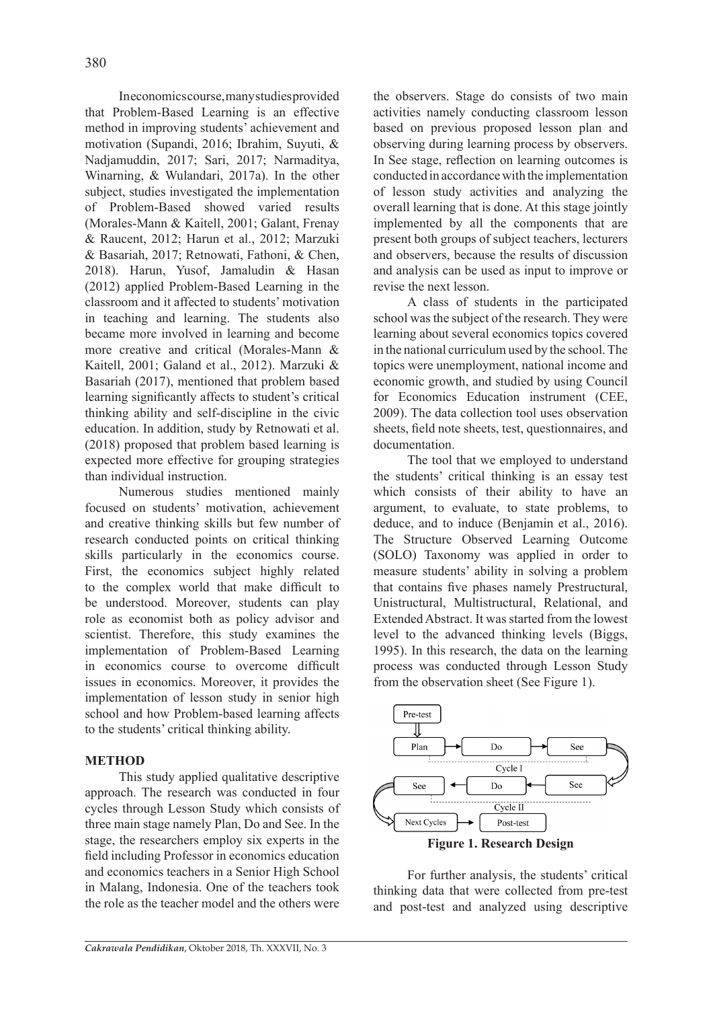In economics course, many studies provided that Problem-Based Learning is an effective method in improving students' achievement and motivation (Supandi, 2016; Ibrahim, Suyuti, & Nadjamuddin, 2017; Sari, 2017; Narmaditya, Winarning, & Wulandari, 2017a). In the other subject, studies investigated the implementation of Problem-Based showed varied results (Morales-Mann & Kaitell, 2001; Galant, Frenay & Raucent, 2012; Harun et al., 2012; Marzuki & Basariah, 2017; Retnowati, Fathoni, & Chen, 2018). Harun, Yusof, Jamaludin & Hasan (2012) applied Problem-Based Learning in the classroom and it affected to students' motivation in teaching and learning. The students also became more involved in learning and become more creative and critical (Morales-Mann & Kaitell, 2001; Galand et al., 2012). Marzuki & Basariah (2017), mentioned that problem based learning significantly affects to student's critical thinking ability and self-discipline in the civic education. In addition, study by Retnowati et al. (2018) proposed that problem based learning is expected more effective for grouping strategies than individual instruction.

Numerous studies mentioned mainly focused on students' motivation, achievement and creative thinking skills but few number of research conducted points on critical thinking skills particularly in the economics course. First, the economics subject highly related to the complex world that make difficult to be understood. Moreover, students can play role as economist both as policy advisor and scientist. Therefore, this study examines the implementation of Problem-Based Learning in economics course to overcome difficult issues in economics. Moreover, it provides the implementation of lesson study in senior high school and how Problem-based learning affects to the students' critical thinking ability.

# **METHOD**

This study applied qualitative descriptive approach. The research was conducted in four cycles through Lesson Study which consists of three main stage namely Plan, Do and See. In the stage, the researchers employ six experts in the field including Professor in economics education and economics teachers in a Senior High School in Malang, Indonesia. One of the teachers took the role as the teacher model and the others were the observers. Stage do consists of two main activities namely conducting classroom lesson based on previous proposed lesson plan and observing during learning process by observers. In See stage, reflection on learning outcomes is conducted in accordance with the implementation of lesson study activities and analyzing the overall learning that is done. At this stage jointly implemented by all the components that are present both groups of subject teachers, lecturers and observers, because the results of discussion and analysis can be used as input to improve or revise the next lesson.

A class of students in the participated school was the subject of the research. They were learning about several economics topics covered in the national curriculum used by the school. The topics were unemployment, national income and economic growth, and studied by using Council for Economics Education instrument (CEE, 2009). The data collection tool uses observation sheets, field note sheets, test, questionnaires, and documentation.

The tool that we employed to understand the students' critical thinking is an essay test which consists of their ability to have an argument, to evaluate, to state problems, to deduce, and to induce (Benjamin et al., 2016). The Structure Observed Learning Outcome (SOLO) Taxonomy was applied in order to measure students' ability in solving a problem that contains five phases namely Prestructural, Unistructural, Multistructural, Relational, and Extended Abstract. It was started from the lowest level to the advanced thinking levels (Biggs, 1995). In this research, the data on the learning process was conducted through Lesson Study from the observation sheet (See Figure 1).



For further analysis, the students' critical thinking data that were collected from pre-test and post-test and analyzed using descriptive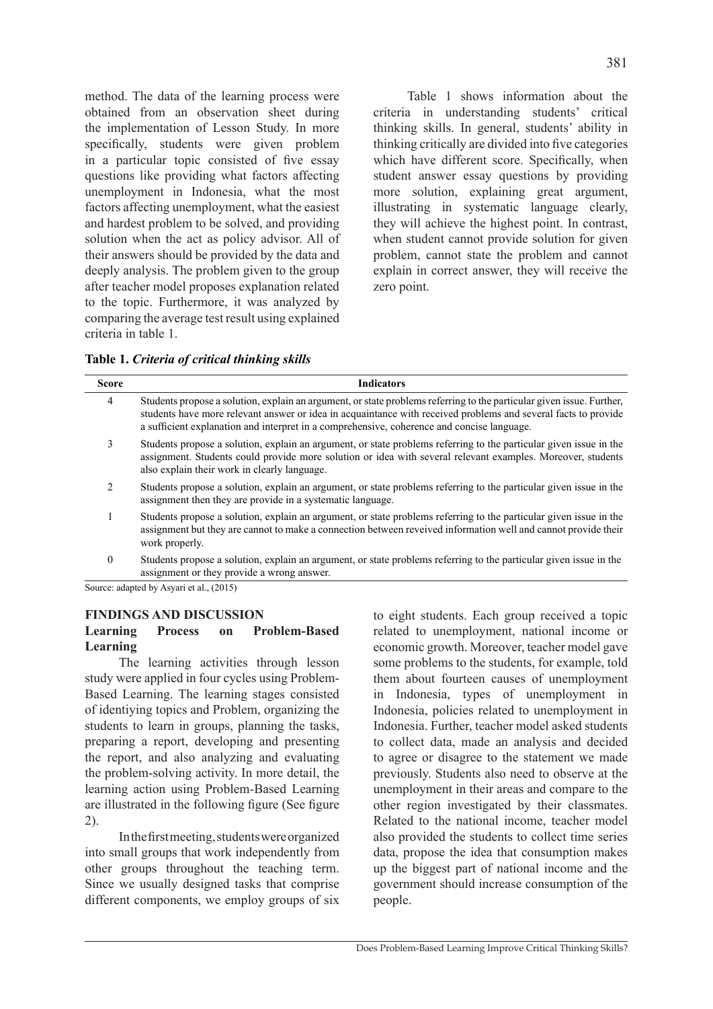method. The data of the learning process were obtained from an observation sheet during the implementation of Lesson Study. In more specifically, students were given problem in a particular topic consisted of five essay questions like providing what factors affecting unemployment in Indonesia, what the most factors affecting unemployment, what the easiest and hardest problem to be solved, and providing solution when the act as policy advisor. All of their answers should be provided by the data and deeply analysis. The problem given to the group after teacher model proposes explanation related to the topic. Furthermore, it was analyzed by comparing the average test result using explained criteria in table 1.

Table 1 shows information about the criteria in understanding students' critical thinking skills. In general, students' ability in thinking critically are divided into five categories which have different score. Specifically, when student answer essay questions by providing more solution, explaining great argument, illustrating in systematic language clearly, they will achieve the highest point. In contrast, when student cannot provide solution for given problem, cannot state the problem and cannot explain in correct answer, they will receive the zero point.

**Table 1.** *Criteria of critical thinking skills*

| <b>Score</b>   | <b>Indicators</b>                                                                                                                                                                                                                                                                                                                     |
|----------------|---------------------------------------------------------------------------------------------------------------------------------------------------------------------------------------------------------------------------------------------------------------------------------------------------------------------------------------|
| 4              | Students propose a solution, explain an argument, or state problems referring to the particular given issue. Further,<br>students have more relevant answer or idea in acquaintance with received problems and several facts to provide<br>a sufficient explanation and interpret in a comprehensive, coherence and concise language. |
| 3              | Students propose a solution, explain an argument, or state problems referring to the particular given issue in the<br>assignment. Students could provide more solution or idea with several relevant examples. Moreover, students<br>also explain their work in clearly language.                                                     |
| $\mathfrak{D}$ | Students propose a solution, explain an argument, or state problems referring to the particular given issue in the<br>assignment then they are provide in a systematic language.                                                                                                                                                      |
|                | Students propose a solution, explain an argument, or state problems referring to the particular given issue in the<br>assignment but they are cannot to make a connection between reveived information well and cannot provide their<br>work properly.                                                                                |
| $\theta$       | Students propose a solution, explain an argument, or state problems referring to the particular given issue in the<br>assignment or they provide a wrong answer.                                                                                                                                                                      |

Source: adapted by Asyari et al., (2015)

### **FINDINGS AND DISCUSSION**

# **Learning Process on Problem-Based Learning**

The learning activities through lesson study were applied in four cycles using Problem-Based Learning. The learning stages consisted of identiying topics and Problem, organizing the students to learn in groups, planning the tasks, preparing a report, developing and presenting the report, and also analyzing and evaluating the problem-solving activity. In more detail, the learning action using Problem-Based Learning are illustrated in the following figure (See figure 2).

In the first meeting, students were organized into small groups that work independently from other groups throughout the teaching term. Since we usually designed tasks that comprise different components, we employ groups of six to eight students. Each group received a topic related to unemployment, national income or economic growth. Moreover, teacher model gave some problems to the students, for example, told them about fourteen causes of unemployment in Indonesia, types of unemployment in Indonesia, policies related to unemployment in Indonesia. Further, teacher model asked students to collect data, made an analysis and decided to agree or disagree to the statement we made previously. Students also need to observe at the unemployment in their areas and compare to the other region investigated by their classmates. Related to the national income, teacher model also provided the students to collect time series data, propose the idea that consumption makes up the biggest part of national income and the government should increase consumption of the people.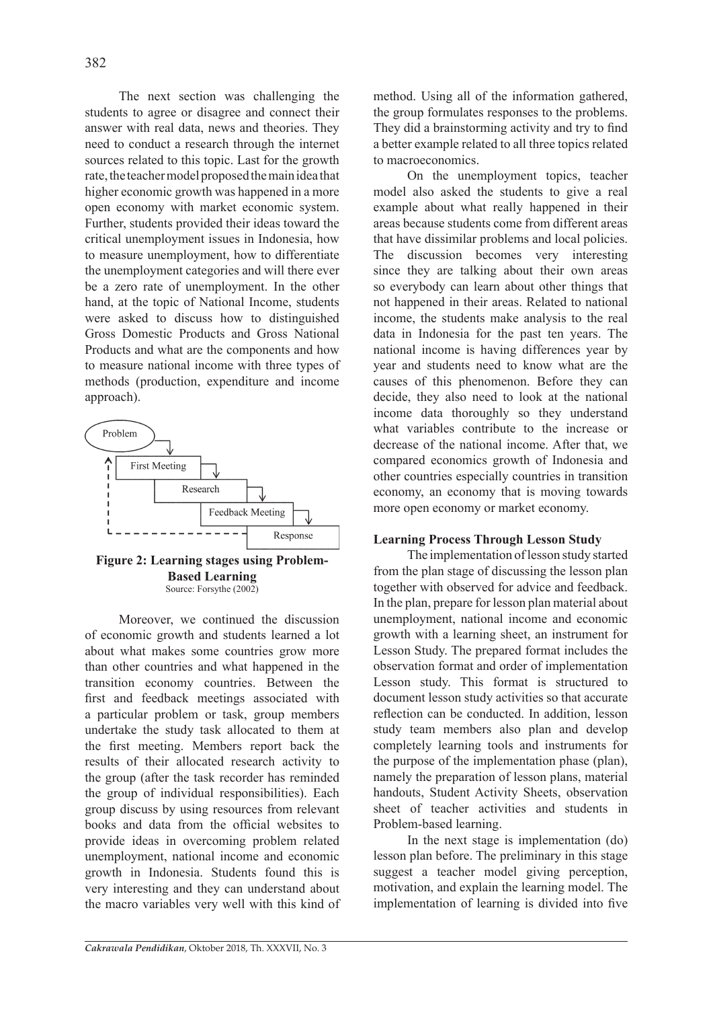The next section was challenging the students to agree or disagree and connect their answer with real data, news and theories. They need to conduct a research through the internet sources related to this topic. Last for the growth rate, the teacher model proposed the main idea that higher economic growth was happened in a more open economy with market economic system. Further, students provided their ideas toward the critical unemployment issues in Indonesia, how to measure unemployment, how to differentiate the unemployment categories and will there ever be a zero rate of unemployment. In the other hand, at the topic of National Income, students were asked to discuss how to distinguished Gross Domestic Products and Gross National Products and what are the components and how to measure national income with three types of methods (production, expenditure and income approach).



**Figure 2: Learning stages using Problem-Based Learning** Source: Forsythe (2002)

Moreover, we continued the discussion of economic growth and students learned a lot about what makes some countries grow more than other countries and what happened in the transition economy countries. Between the first and feedback meetings associated with a particular problem or task, group members undertake the study task allocated to them at the first meeting. Members report back the results of their allocated research activity to the group (after the task recorder has reminded the group of individual responsibilities). Each group discuss by using resources from relevant books and data from the official websites to provide ideas in overcoming problem related unemployment, national income and economic growth in Indonesia. Students found this is very interesting and they can understand about the macro variables very well with this kind of method. Using all of the information gathered, the group formulates responses to the problems. They did a brainstorming activity and try to find a better example related to all three topics related to macroeconomics.

On the unemployment topics, teacher model also asked the students to give a real example about what really happened in their areas because students come from different areas that have dissimilar problems and local policies. The discussion becomes very interesting since they are talking about their own areas so everybody can learn about other things that not happened in their areas. Related to national income, the students make analysis to the real data in Indonesia for the past ten years. The national income is having differences year by year and students need to know what are the causes of this phenomenon. Before they can decide, they also need to look at the national income data thoroughly so they understand what variables contribute to the increase or decrease of the national income. After that, we compared economics growth of Indonesia and other countries especially countries in transition economy, an economy that is moving towards more open economy or market economy.

### **Learning Process Through Lesson Study**

The implementation of lesson study started from the plan stage of discussing the lesson plan together with observed for advice and feedback. In the plan, prepare for lesson plan material about unemployment, national income and economic growth with a learning sheet, an instrument for Lesson Study. The prepared format includes the observation format and order of implementation Lesson study. This format is structured to document lesson study activities so that accurate reflection can be conducted. In addition, lesson study team members also plan and develop completely learning tools and instruments for the purpose of the implementation phase (plan), namely the preparation of lesson plans, material handouts, Student Activity Sheets, observation sheet of teacher activities and students in Problem-based learning.

In the next stage is implementation (do) lesson plan before. The preliminary in this stage suggest a teacher model giving perception, motivation, and explain the learning model. The implementation of learning is divided into five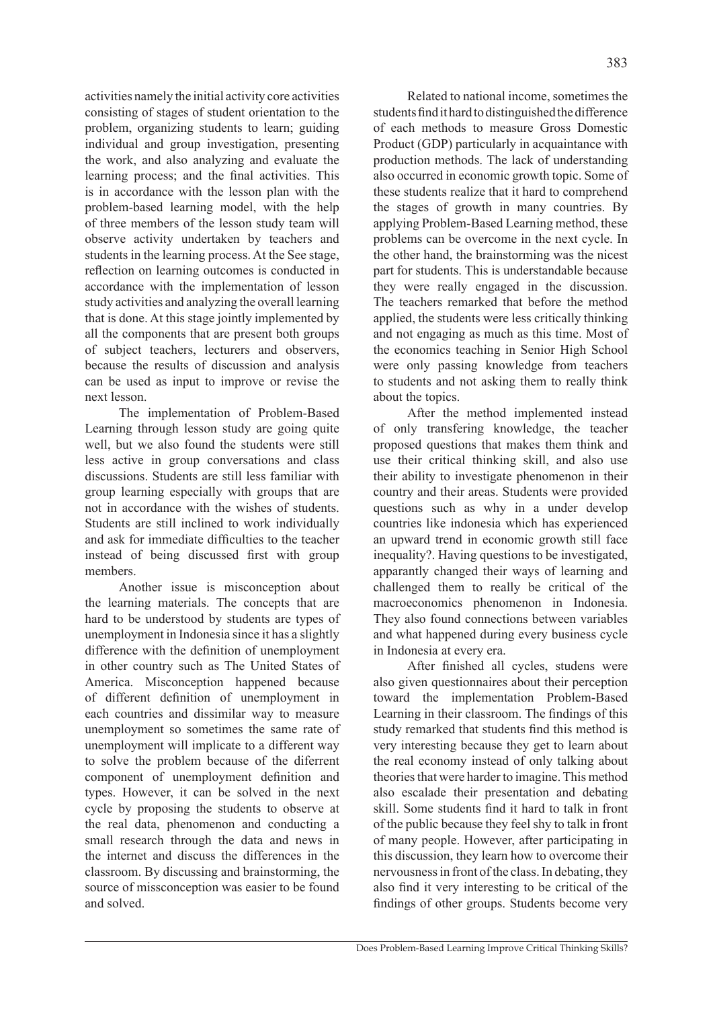activities namely the initial activity core activities consisting of stages of student orientation to the problem, organizing students to learn; guiding individual and group investigation, presenting the work, and also analyzing and evaluate the learning process; and the final activities. This is in accordance with the lesson plan with the problem-based learning model, with the help of three members of the lesson study team will observe activity undertaken by teachers and students in the learning process. At the See stage, reflection on learning outcomes is conducted in accordance with the implementation of lesson study activities and analyzing the overall learning that is done. At this stage jointly implemented by all the components that are present both groups of subject teachers, lecturers and observers, because the results of discussion and analysis can be used as input to improve or revise the next lesson.

The implementation of Problem-Based Learning through lesson study are going quite well, but we also found the students were still less active in group conversations and class discussions. Students are still less familiar with group learning especially with groups that are not in accordance with the wishes of students. Students are still inclined to work individually and ask for immediate difficulties to the teacher instead of being discussed first with group members.

Another issue is misconception about the learning materials. The concepts that are hard to be understood by students are types of unemployment in Indonesia since it has a slightly difference with the definition of unemployment in other country such as The United States of America. Misconception happened because of different definition of unemployment in each countries and dissimilar way to measure unemployment so sometimes the same rate of unemployment will implicate to a different way to solve the problem because of the diferrent component of unemployment definition and types. However, it can be solved in the next cycle by proposing the students to observe at the real data, phenomenon and conducting a small research through the data and news in the internet and discuss the differences in the classroom. By discussing and brainstorming, the source of missconception was easier to be found and solved.

Related to national income, sometimes the students find it hard to distinguished the difference of each methods to measure Gross Domestic Product (GDP) particularly in acquaintance with production methods. The lack of understanding also occurred in economic growth topic. Some of these students realize that it hard to comprehend the stages of growth in many countries. By applying Problem-Based Learning method, these problems can be overcome in the next cycle. In the other hand, the brainstorming was the nicest part for students. This is understandable because they were really engaged in the discussion. The teachers remarked that before the method applied, the students were less critically thinking and not engaging as much as this time. Most of the economics teaching in Senior High School were only passing knowledge from teachers to students and not asking them to really think about the topics.

After the method implemented instead of only transfering knowledge, the teacher proposed questions that makes them think and use their critical thinking skill, and also use their ability to investigate phenomenon in their country and their areas. Students were provided questions such as why in a under develop countries like indonesia which has experienced an upward trend in economic growth still face inequality?. Having questions to be investigated, apparantly changed their ways of learning and challenged them to really be critical of the macroeconomics phenomenon in Indonesia. They also found connections between variables and what happened during every business cycle in Indonesia at every era.

After finished all cycles, studens were also given questionnaires about their perception toward the implementation Problem-Based Learning in their classroom. The findings of this study remarked that students find this method is very interesting because they get to learn about the real economy instead of only talking about theories that were harder to imagine. This method also escalade their presentation and debating skill. Some students find it hard to talk in front of the public because they feel shy to talk in front of many people. However, after participating in this discussion, they learn how to overcome their nervousness in front of the class. In debating, they also find it very interesting to be critical of the findings of other groups. Students become very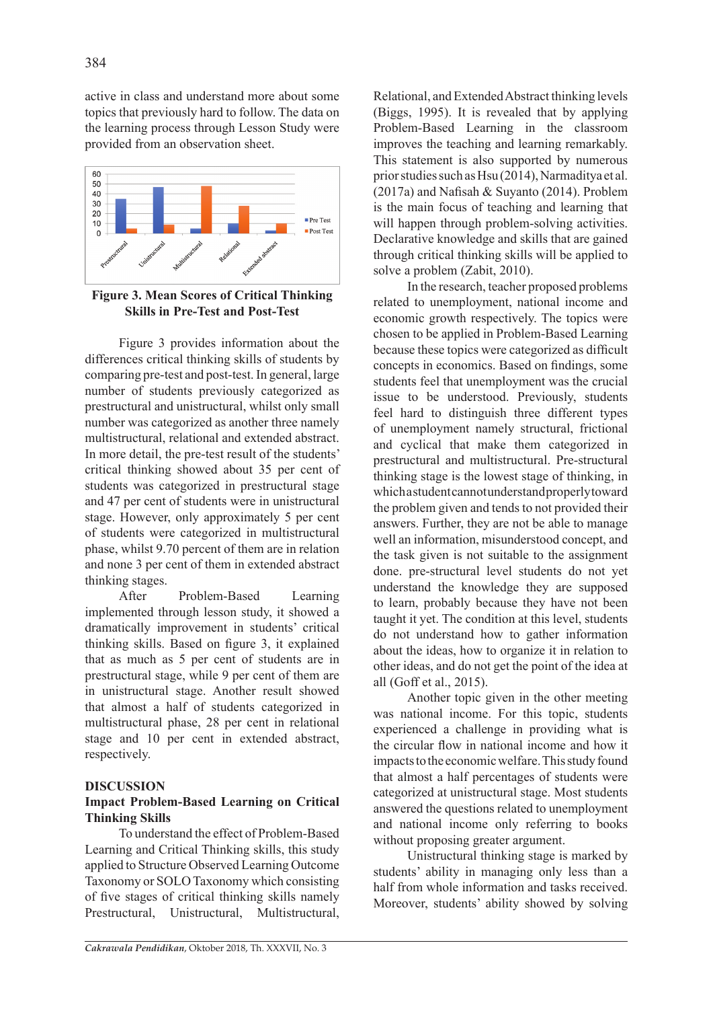active in class and understand more about some topics that previously hard to follow. The data on the learning process through Lesson Study were provided from an observation sheet.



**Figure 3. Mean Scores of Critical Thinking Skills in Pre-Test and Post-Test**

Figure 3 provides information about the differences critical thinking skills of students by comparing pre-test and post-test. In general, large number of students previously categorized as prestructural and unistructural, whilst only small number was categorized as another three namely multistructural, relational and extended abstract. In more detail, the pre-test result of the students' critical thinking showed about 35 per cent of students was categorized in prestructural stage and 47 per cent of students were in unistructural stage. However, only approximately 5 per cent of students were categorized in multistructural phase, whilst 9.70 percent of them are in relation and none 3 per cent of them in extended abstract thinking stages.

After Problem-Based Learning implemented through lesson study, it showed a dramatically improvement in students' critical thinking skills. Based on figure 3, it explained that as much as 5 per cent of students are in prestructural stage, while 9 per cent of them are in unistructural stage. Another result showed that almost a half of students categorized in multistructural phase, 28 per cent in relational stage and 10 per cent in extended abstract, respectively.

### **DISCUSSION**

### **Impact Problem-Based Learning on Critical Thinking Skills**

To understand the effect of Problem-Based Learning and Critical Thinking skills, this study applied to Structure Observed Learning Outcome Taxonomy or SOLO Taxonomy which consisting of five stages of critical thinking skills namely Prestructural, Unistructural, Multistructural, Relational, and Extended Abstract thinking levels (Biggs, 1995). It is revealed that by applying Problem-Based Learning in the classroom improves the teaching and learning remarkably. This statement is also supported by numerous prior studies such as Hsu (2014), Narmaditya et al. (2017a) and Nafisah & Suyanto (2014). Problem is the main focus of teaching and learning that will happen through problem-solving activities. Declarative knowledge and skills that are gained through critical thinking skills will be applied to solve a problem (Zabit, 2010).

In the research, teacher proposed problems related to unemployment, national income and economic growth respectively. The topics were chosen to be applied in Problem-Based Learning because these topics were categorized as difficult concepts in economics. Based on findings, some students feel that unemployment was the crucial issue to be understood. Previously, students feel hard to distinguish three different types of unemployment namely structural, frictional and cyclical that make them categorized in prestructural and multistructural. Pre-structural thinking stage is the lowest stage of thinking, in which a student cannot understand properly toward the problem given and tends to not provided their answers. Further, they are not be able to manage well an information, misunderstood concept, and the task given is not suitable to the assignment done. pre-structural level students do not yet understand the knowledge they are supposed to learn, probably because they have not been taught it yet. The condition at this level, students do not understand how to gather information about the ideas, how to organize it in relation to other ideas, and do not get the point of the idea at all (Goff et al., 2015).

Another topic given in the other meeting was national income. For this topic, students experienced a challenge in providing what is the circular flow in national income and how it impacts to the economic welfare. This study found that almost a half percentages of students were categorized at unistructural stage. Most students answered the questions related to unemployment and national income only referring to books without proposing greater argument.

Unistructural thinking stage is marked by students' ability in managing only less than a half from whole information and tasks received. Moreover, students' ability showed by solving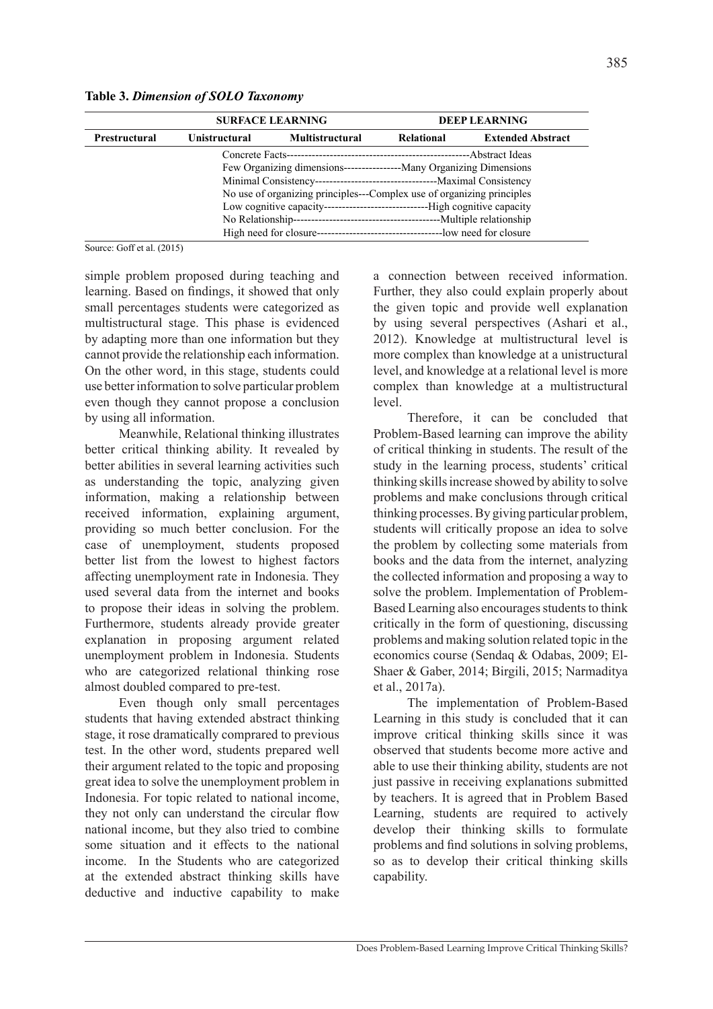**Table 3.** *Dimension of SOLO Taxonomy*

|                      | <b>SURFACE LEARNING</b> |                                                                              | <b>DEEP LEARNING</b> |                          |  |
|----------------------|-------------------------|------------------------------------------------------------------------------|----------------------|--------------------------|--|
| <b>Prestructural</b> | Unistructural           | <b>Multistructural</b>                                                       | Relational           | <b>Extended Abstract</b> |  |
|                      |                         |                                                                              |                      |                          |  |
|                      |                         | Few Organizing dimensions------------------------ Many Organizing Dimensions |                      |                          |  |
|                      |                         |                                                                              |                      |                          |  |
|                      |                         | No use of organizing principles---Complex use of organizing principles       |                      |                          |  |
|                      |                         |                                                                              |                      |                          |  |
|                      |                         |                                                                              |                      |                          |  |
|                      |                         |                                                                              |                      |                          |  |

Source: Goff et al. (2015)

simple problem proposed during teaching and learning. Based on findings, it showed that only small percentages students were categorized as multistructural stage. This phase is evidenced by adapting more than one information but they cannot provide the relationship each information. On the other word, in this stage, students could use better information to solve particular problem even though they cannot propose a conclusion by using all information.

Meanwhile, Relational thinking illustrates better critical thinking ability. It revealed by better abilities in several learning activities such as understanding the topic, analyzing given information, making a relationship between received information, explaining argument, providing so much better conclusion. For the case of unemployment, students proposed better list from the lowest to highest factors affecting unemployment rate in Indonesia. They used several data from the internet and books to propose their ideas in solving the problem. Furthermore, students already provide greater explanation in proposing argument related unemployment problem in Indonesia. Students who are categorized relational thinking rose almost doubled compared to pre-test.

Even though only small percentages students that having extended abstract thinking stage, it rose dramatically comprared to previous test. In the other word, students prepared well their argument related to the topic and proposing great idea to solve the unemployment problem in Indonesia. For topic related to national income, they not only can understand the circular flow national income, but they also tried to combine some situation and it effects to the national income. In the Students who are categorized at the extended abstract thinking skills have deductive and inductive capability to make

a connection between received information. Further, they also could explain properly about the given topic and provide well explanation by using several perspectives (Ashari et al., 2012). Knowledge at multistructural level is more complex than knowledge at a unistructural level, and knowledge at a relational level is more complex than knowledge at a multistructural level.

Therefore, it can be concluded that Problem-Based learning can improve the ability of critical thinking in students. The result of the study in the learning process, students' critical thinking skills increase showed by ability to solve problems and make conclusions through critical thinking processes. By giving particular problem, students will critically propose an idea to solve the problem by collecting some materials from books and the data from the internet, analyzing the collected information and proposing a way to solve the problem. Implementation of Problem-Based Learning also encourages students to think critically in the form of questioning, discussing problems and making solution related topic in the economics course (Sendaq & Odabas, 2009; El-Shaer & Gaber, 2014; Birgili, 2015; Narmaditya et al., 2017a).

The implementation of Problem-Based Learning in this study is concluded that it can improve critical thinking skills since it was observed that students become more active and able to use their thinking ability, students are not just passive in receiving explanations submitted by teachers. It is agreed that in Problem Based Learning, students are required to actively develop their thinking skills to formulate problems and find solutions in solving problems, so as to develop their critical thinking skills capability.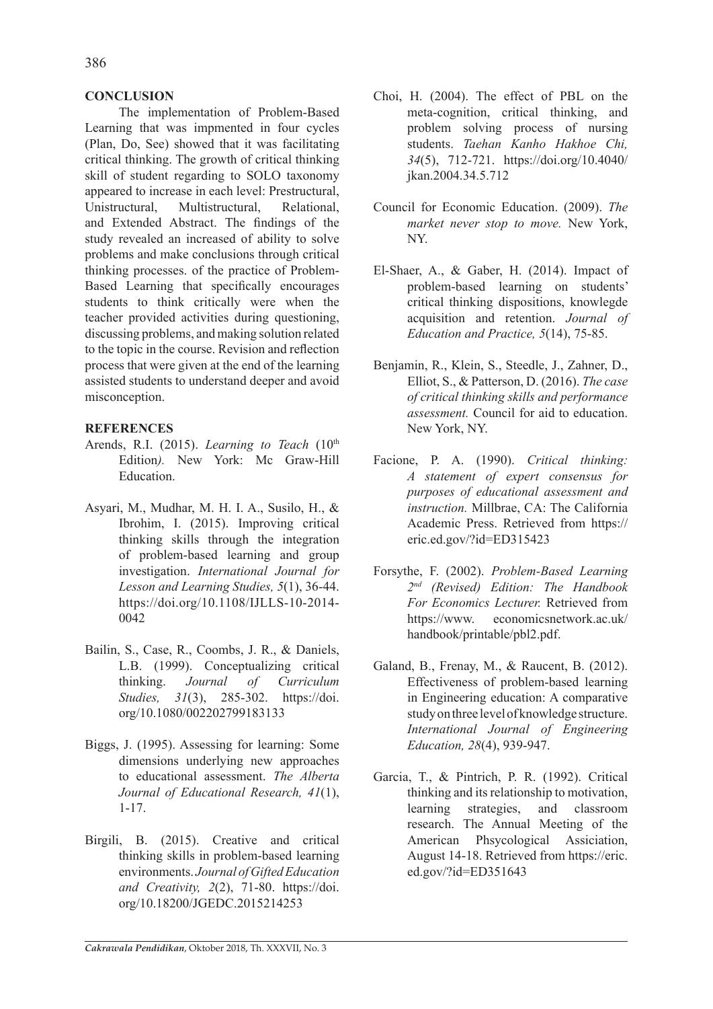# **CONCLUSION**

The implementation of Problem-Based Learning that was impmented in four cycles (Plan, Do, See) showed that it was facilitating critical thinking. The growth of critical thinking skill of student regarding to SOLO taxonomy appeared to increase in each level: Prestructural, Unistructural, Multistructural, Relational, and Extended Abstract. The findings of the study revealed an increased of ability to solve problems and make conclusions through critical thinking processes. of the practice of Problem-Based Learning that specifically encourages students to think critically were when the teacher provided activities during questioning, discussing problems, and making solution related to the topic in the course. Revision and reflection process that were given at the end of the learning assisted students to understand deeper and avoid misconception.

# **REFERENCES**

- Arends, R.I. (2015). *Learning to Teach* (10<sup>th</sup>) Edition*).* New York: Mc Graw-Hill Education.
- Asyari, M., Mudhar, M. H. I. A., Susilo, H., & Ibrohim, I. (2015). Improving critical thinking skills through the integration of problem-based learning and group investigation. *International Journal for Lesson and Learning Studies, 5*(1), 36-44. https://doi.org/10.1108/IJLLS-10-2014- 0042
- Bailin, S., Case, R., Coombs, J. R., & Daniels, L.B. (1999). Conceptualizing critical thinking. *Journal of Curriculum Studies, 31*(3), 285-302. https://doi. org/10.1080/002202799183133
- Biggs, J. (1995). Assessing for learning: Some dimensions underlying new approaches to educational assessment. *The Alberta Journal of Educational Research, 41*(1), 1-17.
- Birgili, B. (2015). Creative and critical thinking skills in problem-based learning environments. *Journal of Gifted Education and Creativity, 2*(2), 71-80. https://doi. org/10.18200/JGEDC.2015214253
- Choi, H. (2004). The effect of PBL on the meta-cognition, critical thinking, and problem solving process of nursing students. *Taehan Kanho Hakhoe Chi, 34*(5), 712-721. https://doi.org/10.4040/ jkan.2004.34.5.712
- Council for Economic Education. (2009). *The market never stop to move.* New York, NY.
- El-Shaer, A., & Gaber, H. (2014). Impact of problem-based learning on students' critical thinking dispositions, knowlegde acquisition and retention. *Journal of Education and Practice, 5*(14), 75-85.
- Benjamin, R., Klein, S., Steedle, J., Zahner, D., Elliot, S., & Patterson, D. (2016). *The case of critical thinking skills and performance assessment.* Council for aid to education. New York, NY.
- Facione, P. A. (1990). *Critical thinking: A statement of expert consensus for purposes of educational assessment and instruction.* Millbrae, CA: The California Academic Press. Retrieved from https:// eric.ed.gov/?id=ED315423
- Forsythe, F. (2002). *Problem-Based Learning 2nd (Revised) Edition: The Handbook For Economics Lecturer.* Retrieved from https://www. economicsnetwork.ac.uk/ handbook/printable/pbl2.pdf.
- Galand, B., Frenay, M., & Raucent, B. (2012). Effectiveness of problem-based learning in Engineering education: A comparative study on three level of knowledge structure. *International Journal of Engineering Education, 28*(4), 939-947.
- Garcia, T., & Pintrich, P. R. (1992). Critical thinking and its relationship to motivation, learning strategies, and classroom research. The Annual Meeting of the American Phsycological Assiciation, August 14-18. Retrieved from https://eric. ed.gov/?id=ED351643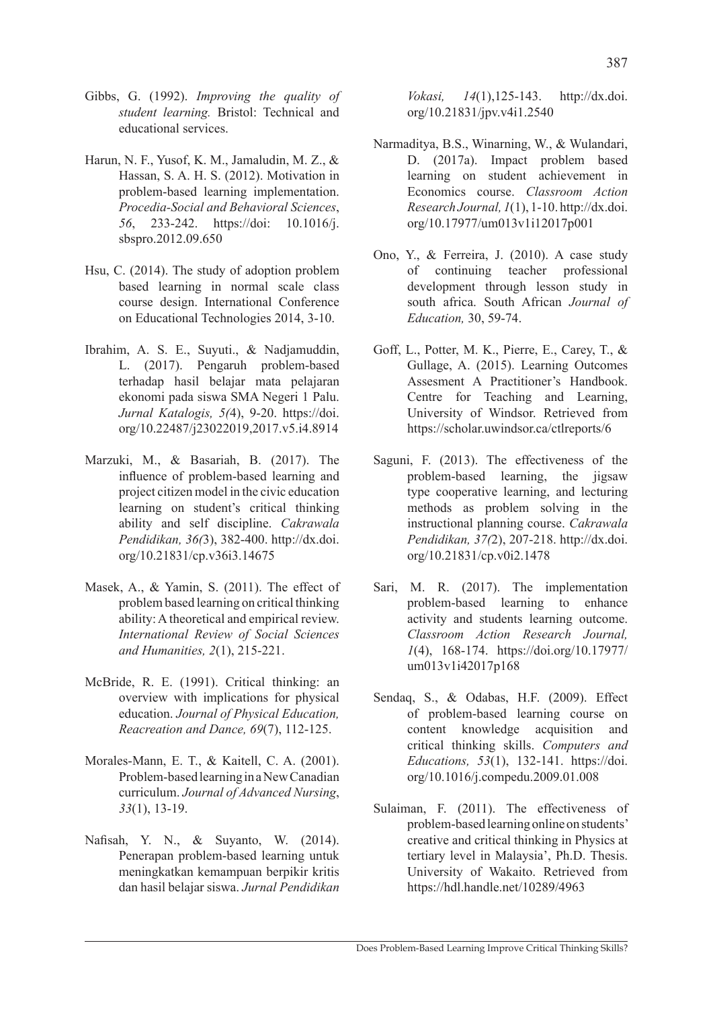- Gibbs, G. (1992). *Improving the quality of student learning.* Bristol: Technical and educational services.
- Harun, N. F., Yusof, K. M., Jamaludin, M. Z., & Hassan, S. A. H. S. (2012). Motivation in problem-based learning implementation. *Procedia-Social and Behavioral Sciences*, *56*, 233-242. https://doi: 10.1016/j. sbspro.2012.09.650
- Hsu, C. (2014). The study of adoption problem based learning in normal scale class course design. International Conference on Educational Technologies 2014, 3-10.
- Ibrahim, A. S. E., Suyuti., & Nadjamuddin, L. (2017). Pengaruh problem-based terhadap hasil belajar mata pelajaran ekonomi pada siswa SMA Negeri 1 Palu. *Jurnal Katalogis, 5(*4), 9-20. https://doi. org/10.22487/j23022019,2017.v5.i4.8914
- Marzuki, M., & Basariah, B. (2017). The influence of problem-based learning and project citizen model in the civic education learning on student's critical thinking ability and self discipline. *Cakrawala Pendidikan, 36(*3), 382-400. http://dx.doi. org/10.21831/cp.v36i3.14675
- Masek, A., & Yamin, S. (2011). The effect of problem based learning on critical thinking ability: A theoretical and empirical review. *International Review of Social Sciences and Humanities, 2*(1), 215-221.
- McBride, R. E. (1991). Critical thinking: an overview with implications for physical education. *Journal of Physical Education, Reacreation and Dance, 69*(7), 112-125.
- Morales-Mann, E. T., & Kaitell, C. A. (2001). Problem-based learning in a New Canadian curriculum. *Journal of Advanced Nursing*, *33*(1), 13-19.
- Nafisah, Y. N., & Suyanto, W. (2014). Penerapan problem-based learning untuk meningkatkan kemampuan berpikir kritis dan hasil belajar siswa. *Jurnal Pendidikan*

*Vokasi, 14*(1),125-143. http://dx.doi. org/10.21831/jpv.v4i1.2540

- Narmaditya, B.S., Winarning, W., & Wulandari, D. (2017a). Impact problem based learning on student achievement in Economics course. *Classroom Action Research Journal, 1*(1), 1-10. http://dx.doi. org/10.17977/um013v1i12017p001
- Ono, Y., & Ferreira, J. (2010). A case study of continuing teacher professional development through lesson study in south africa. South African *Journal of Education,* 30, 59-74.
- Goff, L., Potter, M. K., Pierre, E., Carey, T., & Gullage, A. (2015). Learning Outcomes Assesment A Practitioner's Handbook. Centre for Teaching and Learning, University of Windsor. Retrieved from https://scholar.uwindsor.ca/ctlreports/6
- Saguni, F. (2013). The effectiveness of the problem-based learning, the jigsaw type cooperative learning, and lecturing methods as problem solving in the instructional planning course. *Cakrawala Pendidikan, 37(*2), 207-218. http://dx.doi. org/10.21831/cp.v0i2.1478
- Sari, M. R. (2017). The implementation problem-based learning to enhance activity and students learning outcome. *Classroom Action Research Journal, 1*(4), 168-174. https://doi.org/10.17977/ um013v1i42017p168
- Sendaq, S., & Odabas, H.F. (2009). Effect of problem-based learning course on content knowledge acquisition and critical thinking skills. *Computers and Educations, 53*(1), 132-141. https://doi. org/10.1016/j.compedu.2009.01.008
- Sulaiman, F. (2011). The effectiveness of problem-based learning online on students' creative and critical thinking in Physics at tertiary level in Malaysia', Ph.D. Thesis. University of Wakaito. Retrieved from https://hdl.handle.net/10289/4963